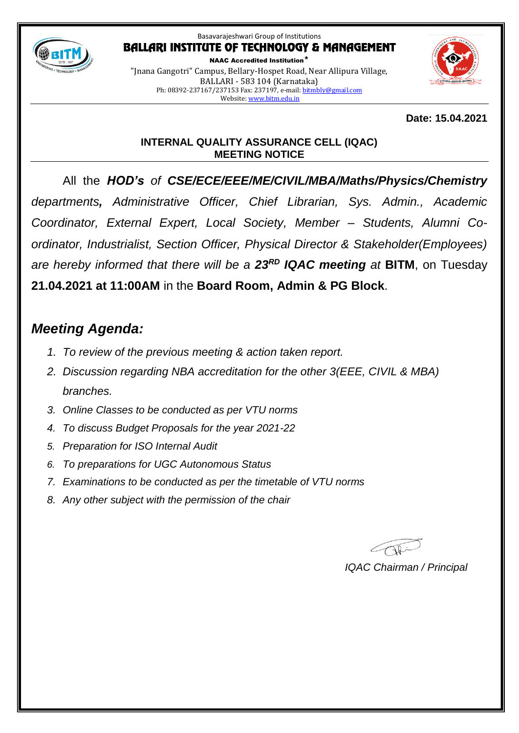

#### Basavarajeshwari Group of Institutions **BALLARI INSTITUTE OF TECHNOLOGY & MANAGEMENT**

NAAC Accredited Institution\* "Jnana Gangotri" Campus, Bellary-Hospet Road, Near Allipura Village, BALLARI - 583 104 (Karnataka) Ph: 08392-237167/237153 Fax: 237197, e-mail[: bitmbly@gmail.com](mailto:bitmbly@gmail.com) Website[: www.bitm.edu.in](http://www.bec-bellary.com/)



#### **Date: 15.04.2021**

### **INTERNAL QUALITY ASSURANCE CELL (IQAC) MEETING NOTICE**

All the *HOD's of CSE/ECE/EEE/ME/CIVIL/MBA/Maths/Physics/Chemistry departments, Administrative Officer, Chief Librarian, Sys. Admin., Academic Coordinator, External Expert, Local Society, Member – Students, Alumni Coordinator, Industrialist, Section Officer, Physical Director & Stakeholder(Employees) are hereby informed that there will be a 23 RD IQAC meeting at* **BITM**, on Tuesday **21.04.2021 at 11:00AM** in the **Board Room, Admin & PG Block**.

## *Meeting Agenda:*

- *1. To review of the previous meeting & action taken report.*
- *2. Discussion regarding NBA accreditation for the other 3(EEE, CIVIL & MBA) branches.*
- *3. Online Classes to be conducted as per VTU norms*
- *4. To discuss Budget Proposals for the year 2021-22*
- *5. Preparation for ISO Internal Audit*
- *6. To preparations for UGC Autonomous Status*
- *7. Examinations to be conducted as per the timetable of VTU norms*
- *8. Any other subject with the permission of the chair*

*IQAC Chairman / Principal*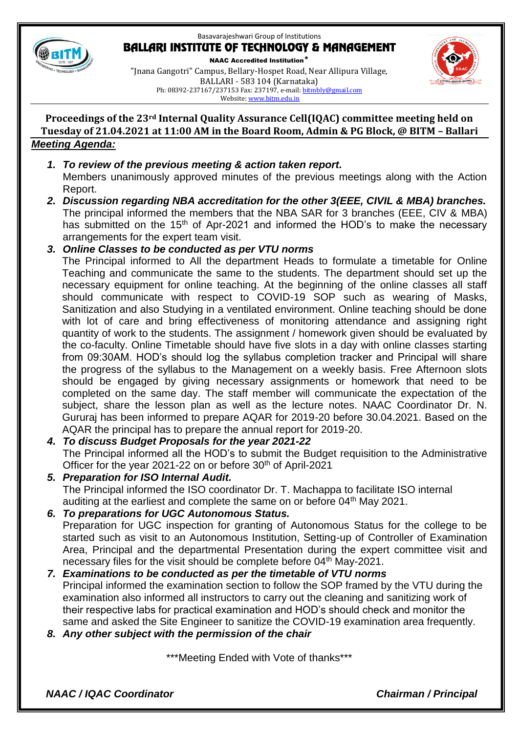

#### Basavarajeshwari Group of Institutions **BALLARI INSTITUTE OF TECHNOLOGY & MANAGEMENT**

NAAC Accredited Institution\* "Jnana Gangotri" Campus, Bellary-Hospet Road, Near Allipura Village, BALLARI - 583 104 (Karnataka) Ph: 08392-237167/237153 Fax: 237197, e-mail[: bitmbly@gmail.com](mailto:bitmbly@gmail.com) Website[: www.bitm.edu.in](http://www.bec-bellary.com/)



- *1. To review of the previous meeting & action taken report.* Members unanimously approved minutes of the previous meetings along with the Action Report.
- *2. Discussion regarding NBA accreditation for the other 3(EEE, CIVIL & MBA) branches.* The principal informed the members that the NBA SAR for 3 branches (EEE, CIV & MBA) has submitted on the 15<sup>th</sup> of Apr-2021 and informed the HOD's to make the necessary arrangements for the expert team visit.

## *3. Online Classes to be conducted as per VTU norms*

The Principal informed to All the department Heads to formulate a timetable for Online Teaching and communicate the same to the students. The department should set up the necessary equipment for online teaching. At the beginning of the online classes all staff should communicate with respect to COVID-19 SOP such as wearing of Masks, Sanitization and also Studying in a ventilated environment. Online teaching should be done with lot of care and bring effectiveness of monitoring attendance and assigning right quantity of work to the students. The assignment / homework given should be evaluated by the co-faculty. Online Timetable should have five slots in a day with online classes starting from 09:30AM. HOD's should log the syllabus completion tracker and Principal will share the progress of the syllabus to the Management on a weekly basis. Free Afternoon slots should be engaged by giving necessary assignments or homework that need to be completed on the same day. The staff member will communicate the expectation of the subject, share the lesson plan as well as the lecture notes. NAAC Coordinator Dr. N. Gururaj has been informed to prepare AQAR for 2019-20 before 30.04.2021. Based on the AQAR the principal has to prepare the annual report for 2019-20.

- *4. To discuss Budget Proposals for the year 2021-22* The Principal informed all the HOD's to submit the Budget requisition to the Administrative Officer for the year 2021-22 on or before 30<sup>th</sup> of April-2021
- *5. Preparation for ISO Internal Audit.* The Principal informed the ISO coordinator Dr. T. Machappa to facilitate ISO internal auditing at the earliest and complete the same on or before 04<sup>th</sup> May 2021.
- *6. To preparations for UGC Autonomous Status.* Preparation for UGC inspection for granting of Autonomous Status for the college to be started such as visit to an Autonomous Institution, Setting-up of Controller of Examination Area, Principal and the departmental Presentation during the expert committee visit and necessary files for the visit should be complete before 04<sup>th</sup> May-2021.
- *7. Examinations to be conducted as per the timetable of VTU norms* Principal informed the examination section to follow the SOP framed by the VTU during the examination also informed all instructors to carry out the cleaning and sanitizing work of their respective labs for practical examination and HOD's should check and monitor the same and asked the Site Engineer to sanitize the COVID-19 examination area frequently.

*8. Any other subject with the permission of the chair*

\*\*\*Meeting Ended with Vote of thanks\*\*\*

 *NAAC / IQAC Coordinator Chairman / Principal*